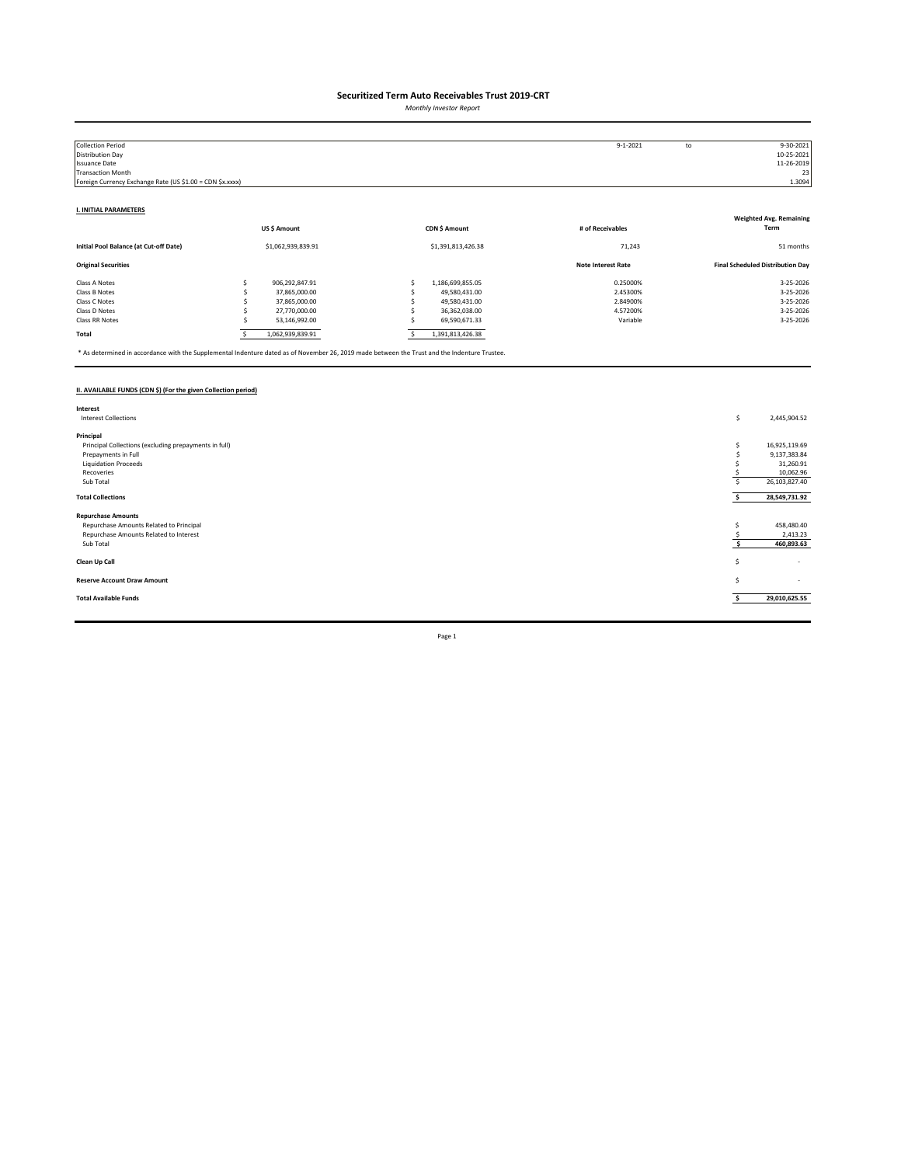*Monthly Investor Report*

| <b>Collection Period</b>                                  |   |                    |                    | $9 - 1 - 2021$            | to | 9-30-2021                               |
|-----------------------------------------------------------|---|--------------------|--------------------|---------------------------|----|-----------------------------------------|
| Distribution Day                                          |   |                    |                    |                           |    | 10-25-2021                              |
| <b>Issuance Date</b>                                      |   |                    |                    |                           |    | 11-26-2019                              |
| <b>Transaction Month</b>                                  |   |                    |                    |                           |    | 23                                      |
| Foreign Currency Exchange Rate (US \$1.00 = CDN \$x.xxxx) |   |                    |                    |                           |    | 1.3094                                  |
|                                                           |   |                    |                    |                           |    |                                         |
| <b>I. INITIAL PARAMETERS</b>                              |   |                    |                    |                           |    |                                         |
|                                                           |   |                    |                    |                           |    | <b>Weighted Avg. Remaining</b>          |
|                                                           |   | US\$ Amount        | CDN \$ Amount      | # of Receivables          |    | Term                                    |
| Initial Pool Balance (at Cut-off Date)                    |   | \$1,062,939,839.91 | \$1,391,813,426.38 | 71,243                    |    | 51 months                               |
| <b>Original Securities</b>                                |   |                    |                    | <b>Note Interest Rate</b> |    | <b>Final Scheduled Distribution Day</b> |
| Class A Notes                                             |   | 906,292,847.91     | 1,186,699,855.05   | 0.25000%                  |    | 3-25-2026                               |
| Class B Notes                                             |   | 37,865,000.00      | 49,580,431.00      | 2.45300%                  |    | 3-25-2026                               |
| Class C Notes                                             |   | 37,865,000.00      | 49,580,431.00      | 2.84900%                  |    | 3-25-2026                               |
| Class D Notes                                             |   | 27,770,000.00      | 36,362,038.00      | 4.57200%                  |    | 3-25-2026                               |
| Class RR Notes                                            |   | 53,146,992.00      | 69,590,671.33      | Variable                  |    | 3-25-2026                               |
| Total                                                     | s | 1,062,939,839.91   | 1,391,813,426.38   |                           |    |                                         |

\* As determined in accordance with the Supplemental Indenture dated as of November 26, 2019 made between the Trust and the Indenture Trustee.

### **II. AVAILABLE FUNDS (CDN \$) (For the given Collection period)**

| Interest                                              |    |                          |
|-------------------------------------------------------|----|--------------------------|
| <b>Interest Collections</b>                           | \$ | 2,445,904.52             |
|                                                       |    |                          |
| Principal                                             |    |                          |
| Principal Collections (excluding prepayments in full) |    | 16,925,119.69            |
| Prepayments in Full                                   |    | 9,137,383.84             |
| <b>Liquidation Proceeds</b>                           |    | 31,260.91                |
| Recoveries                                            |    | 10,062.96                |
| Sub Total                                             |    | 26,103,827.40            |
|                                                       |    |                          |
| <b>Total Collections</b>                              |    | 28,549,731.92            |
| <b>Repurchase Amounts</b>                             |    |                          |
| Repurchase Amounts Related to Principal               |    | 458,480.40               |
|                                                       |    |                          |
| Repurchase Amounts Related to Interest                |    | 2,413.23                 |
| Sub Total                                             |    | 460,893.63               |
|                                                       |    |                          |
| Clean Up Call                                         | s  | $\overline{\phantom{a}}$ |
|                                                       |    |                          |
| <b>Reserve Account Draw Amount</b>                    | S  | $\sim$                   |
|                                                       |    |                          |
| <b>Total Available Funds</b>                          |    | 29,010,625.55            |
|                                                       |    |                          |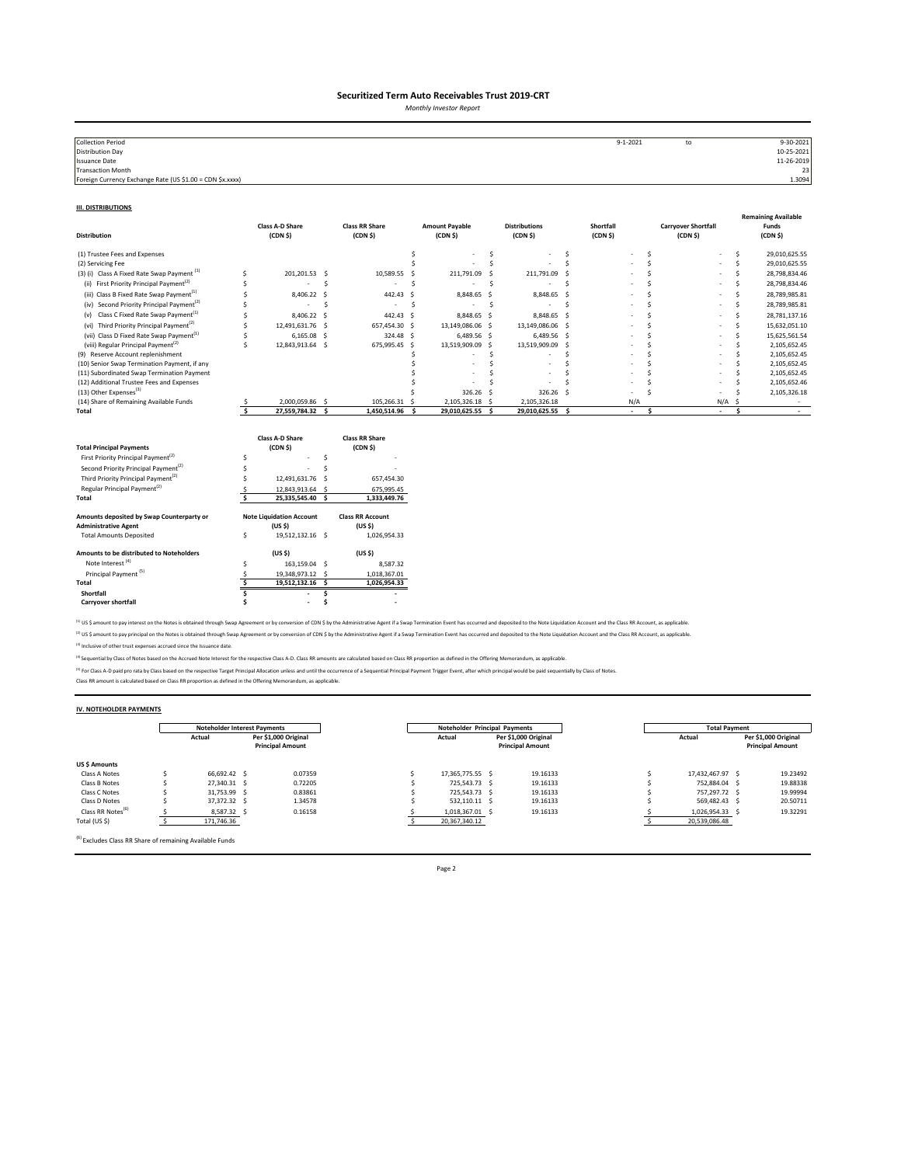*Monthly Investor Report*

| <b>Collection Period</b>                                  | $9 - 1 - 2021$ | to | 9-30-2021  |
|-----------------------------------------------------------|----------------|----|------------|
| <b>Distribution Day</b>                                   |                |    | 10-25-2021 |
| <b>Issuance Date</b>                                      |                |    | 11-26-2019 |
| <b>Transaction Month</b>                                  |                |    | 23         |
| Foreign Currency Exchange Rate (US \$1.00 = CDN \$x.xxxx) |                |    | 1.3094     |
|                                                           |                |    |            |

#### **III. DISTRIBUTIONS**

| <b>Distribution</b>                                                                                                                                                                                                                                                                         |                         | <b>Class A-D Share</b><br>(CDN <sub>5</sub> )                                                                                      |               | <b>Class RR Share</b><br>(CDN <sub>5</sub> )                                                                        |    | <b>Amount Payable</b><br>(CDN <sub>5</sub> ) |     | <b>Distributions</b><br>(CDN <sub>5</sub> ) |     | Shortfall<br>(CDN <sub>5</sub> ) |              | <b>Carryover Shortfall</b><br>(CDN <sub>5</sub> ) |        |     | <b>Remaining Available</b><br>Funds<br>(CDN <sub>5</sub> ) |
|---------------------------------------------------------------------------------------------------------------------------------------------------------------------------------------------------------------------------------------------------------------------------------------------|-------------------------|------------------------------------------------------------------------------------------------------------------------------------|---------------|---------------------------------------------------------------------------------------------------------------------|----|----------------------------------------------|-----|---------------------------------------------|-----|----------------------------------|--------------|---------------------------------------------------|--------|-----|------------------------------------------------------------|
| (1) Trustee Fees and Expenses                                                                                                                                                                                                                                                               |                         |                                                                                                                                    |               |                                                                                                                     | Ś  |                                              | \$. |                                             | \$. |                                  | Ś            |                                                   |        | \$. | 29,010,625.55                                              |
| (2) Servicing Fee                                                                                                                                                                                                                                                                           |                         |                                                                                                                                    |               |                                                                                                                     |    |                                              | Ś   |                                             | Ś   |                                  | <sup>s</sup> |                                                   |        | Ś   | 29,010,625.55                                              |
| (3) (i) Class A Fixed Rate Swap Payment <sup>(1)</sup>                                                                                                                                                                                                                                      | Ś                       | 201.201.53 \$                                                                                                                      |               | 10,589.55                                                                                                           | -Ś | 211,791.09                                   | -Ś  | 211,791.09 \$                               |     |                                  | <sup>s</sup> |                                                   |        | Ś   | 28,798,834.46                                              |
| First Priority Principal Payment <sup>(2)</sup><br>(ii)                                                                                                                                                                                                                                     |                         |                                                                                                                                    | Ś             |                                                                                                                     | Ś  |                                              | .s  |                                             | Ś   |                                  |              |                                                   |        | Ś   | 28,798,834.46                                              |
| (iii) Class B Fixed Rate Swap Payment <sup>(1)</sup>                                                                                                                                                                                                                                        |                         | 8,406.22                                                                                                                           | -S            | 442.43                                                                                                              | .s | 8,848.65 \$                                  |     | 8,848.65 \$                                 |     |                                  |              |                                                   |        | Š.  | 28,789,985.81                                              |
| (iv) Second Priority Principal Payment <sup>(2)</sup>                                                                                                                                                                                                                                       |                         | ٠                                                                                                                                  | Ś             | ٠                                                                                                                   | Ś  | $\sim$                                       | S.  | $\sim$                                      | \$. |                                  |              |                                                   |        | Ś   | 28,789,985.81                                              |
| Class C Fixed Rate Swap Payment <sup>(1)</sup><br>(v)                                                                                                                                                                                                                                       |                         | 8,406.22                                                                                                                           | - S           | 442.43 \$                                                                                                           |    | 8,848.65 \$                                  |     | 8,848.65 \$                                 |     |                                  |              |                                                   |        | Š.  | 28,781,137.16                                              |
| (vi) Third Priority Principal Payment <sup>(2)</sup>                                                                                                                                                                                                                                        | Ś                       | 12,491,631.76                                                                                                                      | - S           | 657,454.30 \$                                                                                                       |    | 13,149,086.06 \$                             |     | 13,149,086.06 \$                            |     |                                  |              |                                                   |        | Š.  | 15,632,051.10                                              |
| (vii) Class D Fixed Rate Swap Payment <sup>(1)</sup>                                                                                                                                                                                                                                        | Ś                       | 6,165.08                                                                                                                           | - S           | 324.48 \$                                                                                                           |    | 6,489.56 \$                                  |     | 6,489.56 \$                                 |     |                                  |              |                                                   |        | Ś   | 15,625,561.54                                              |
| (viii) Regular Principal Payment <sup>(2)</sup>                                                                                                                                                                                                                                             | Ś                       | 12,843,913.64 \$                                                                                                                   |               | 675,995.45 \$                                                                                                       |    | 13,519,909.09 \$                             |     | 13,519,909.09 \$                            |     |                                  |              |                                                   |        | .s  | 2,105,652.45                                               |
| (9) Reserve Account replenishment                                                                                                                                                                                                                                                           |                         |                                                                                                                                    |               |                                                                                                                     |    |                                              | Ś   |                                             |     |                                  | ¢            |                                                   |        | .s  | 2,105,652.45                                               |
| (10) Senior Swap Termination Payment, if any                                                                                                                                                                                                                                                |                         |                                                                                                                                    |               |                                                                                                                     |    |                                              | Ś   |                                             |     |                                  |              |                                                   |        |     | 2,105,652.45                                               |
| (11) Subordinated Swap Termination Payment                                                                                                                                                                                                                                                  |                         |                                                                                                                                    |               |                                                                                                                     |    |                                              |     |                                             |     |                                  |              |                                                   |        |     | 2,105,652.45                                               |
| (12) Additional Trustee Fees and Expenses<br>(13) Other Expenses <sup>(3)</sup>                                                                                                                                                                                                             |                         |                                                                                                                                    |               |                                                                                                                     |    |                                              |     |                                             |     |                                  |              |                                                   |        |     | 2,105,652.46                                               |
| (14) Share of Remaining Available Funds                                                                                                                                                                                                                                                     |                         | 2,000,059.86 \$                                                                                                                    |               | 105,266.31 \$                                                                                                       |    | 326.26<br>2,105,326.18 \$                    | - S | 326.26 \$<br>2,105,326.18                   |     | N/A                              |              |                                                   | N/A    | .S  | 2,105,326.18                                               |
| Total                                                                                                                                                                                                                                                                                       | $\overline{\mathbf{s}}$ | 27,559,784.32 \$                                                                                                                   |               | 1,450,514.96 \$                                                                                                     |    | 29,010,625.55                                | s.  | 29,010,625.55 \$                            |     | $\sim$                           | \$.          |                                                   | $\sim$ | \$. | $\sim$                                                     |
| <b>Total Principal Payments</b><br>First Priority Principal Payment <sup>(2)</sup><br>Second Priority Principal Payment <sup>(2)</sup><br>Third Priority Principal Payment <sup>(2)</sup><br>Regular Principal Payment <sup>(2)</sup><br>Total<br>Amounts deposited by Swap Counterparty or | Ś<br>Ś                  | Class A-D Share<br>(CDN <sub>5</sub> )<br>12,491,631.76<br>12,843,913.64 \$<br>25,335,545.40 \$<br><b>Note Liquidation Account</b> | Š.<br>Ś<br>-S | <b>Class RR Share</b><br>(CDN <sub>5</sub> )<br>657,454.30<br>675,995.45<br>1,333,449.76<br><b>Class RR Account</b> |    |                                              |     |                                             |     |                                  |              |                                                   |        |     |                                                            |
| <b>Administrative Agent</b>                                                                                                                                                                                                                                                                 |                         | (US <sub>5</sub> )                                                                                                                 |               | (US <sub>5</sub> )                                                                                                  |    |                                              |     |                                             |     |                                  |              |                                                   |        |     |                                                            |
| <b>Total Amounts Deposited</b>                                                                                                                                                                                                                                                              | \$                      | 19,512,132.16 \$                                                                                                                   |               | 1,026,954.33                                                                                                        |    |                                              |     |                                             |     |                                  |              |                                                   |        |     |                                                            |
| Amounts to be distributed to Noteholders                                                                                                                                                                                                                                                    |                         | (US <sub>5</sub> )                                                                                                                 |               | (US S)                                                                                                              |    |                                              |     |                                             |     |                                  |              |                                                   |        |     |                                                            |
| Note Interest <sup>(4)</sup>                                                                                                                                                                                                                                                                | Ś                       | 163,159.04 \$                                                                                                                      |               | 8,587.32                                                                                                            |    |                                              |     |                                             |     |                                  |              |                                                   |        |     |                                                            |
| Principal Payment <sup>(5)</sup>                                                                                                                                                                                                                                                            | S                       | 19,348,973.12 \$                                                                                                                   |               | 1,018,367.01                                                                                                        |    |                                              |     |                                             |     |                                  |              |                                                   |        |     |                                                            |
| Total                                                                                                                                                                                                                                                                                       | Š.                      | 19,512,132.16 \$                                                                                                                   |               | 1,026,954.33                                                                                                        |    |                                              |     |                                             |     |                                  |              |                                                   |        |     |                                                            |
| Shortfall                                                                                                                                                                                                                                                                                   |                         |                                                                                                                                    | Ś             |                                                                                                                     |    |                                              |     |                                             |     |                                  |              |                                                   |        |     |                                                            |
| <b>Carryover shortfall</b>                                                                                                                                                                                                                                                                  |                         | $\overline{\phantom{a}}$                                                                                                           |               |                                                                                                                     |    |                                              |     |                                             |     |                                  |              |                                                   |        |     |                                                            |

<sup>(1)</sup> US \$ amount to pay interest on the Notes is obtained through Swap Agreement or by conversion of CDN \$ by the Administrative Agent if a Swap Termination Event has occurred and deposited to the Note Liquidation Account <sup>(2)</sup> US \$ amount to pay principal on the Notes is obtained through Swap Agreement or by conversion of CDN \$ by the Administrative Agent if a Swap Termination Event has occurred and deposited to the Note Liquidation Accoun

(3) Inclusive of other trust expenses accrued since the Issuance date.

<sup>(4)</sup> Sequential by Class of Notes based on the Accrued Note Interest for the respective Class A-D. Class RR amounts are calculated based on Class RR proportion as defined in the Offering Memorandum, as applicable.

<sup>P)</sup> For Class A-D paid pro rata by Class based on the respective Target Principal Allocation unless and until the occurrence of a Sequential Principal Payment Trigger Event, after which principal would be paid sequentiall

#### **IV. NOTEHOLDER PAYMENTS**

|                               | <b>Noteholder Interest Payments</b> |                                                 | Noteholder Principal Payments |                  |  |                                                 | <b>Total Payment</b> |                                                 |  |
|-------------------------------|-------------------------------------|-------------------------------------------------|-------------------------------|------------------|--|-------------------------------------------------|----------------------|-------------------------------------------------|--|
|                               | Actual                              | Per \$1,000 Original<br><b>Principal Amount</b> |                               | Actual           |  | Per \$1.000 Original<br><b>Principal Amount</b> | Actual               | Per \$1,000 Original<br><b>Principal Amount</b> |  |
| <b>US \$ Amounts</b>          |                                     |                                                 |                               |                  |  |                                                 |                      |                                                 |  |
| Class A Notes                 | 66.692.42 S                         | 0.07359                                         |                               | 17.365.775.55 \$ |  | 19.16133                                        | 17.432.467.97 \$     | 19.23492                                        |  |
| Class B Notes                 | 27.340.31 S                         | 0.72205                                         |                               | 725.543.73 \$    |  | 19.16133                                        | 752.884.04 \$        | 19.88338                                        |  |
| Class C Notes                 | 31,753.99 \$                        | 0.83861                                         |                               | 725.543.73 S     |  | 19.16133                                        | 757.297.72 \$        | 19,99994                                        |  |
| Class D Notes                 | 37.372.32 S                         | 1.34578                                         |                               | 532.110.11 \$    |  | 19.16133                                        | 569.482.43 \$        | 20.50711                                        |  |
| Class RR Notes <sup>(6)</sup> | 8,587.32 \$                         | 0.16158                                         |                               | 1,018,367.01 \$  |  | 19.16133                                        | 1,026,954.33         | 19.32291                                        |  |
| Total (US \$)                 | 171,746.36                          |                                                 |                               | 20,367,340.12    |  |                                                 | 20,539,086.48        |                                                 |  |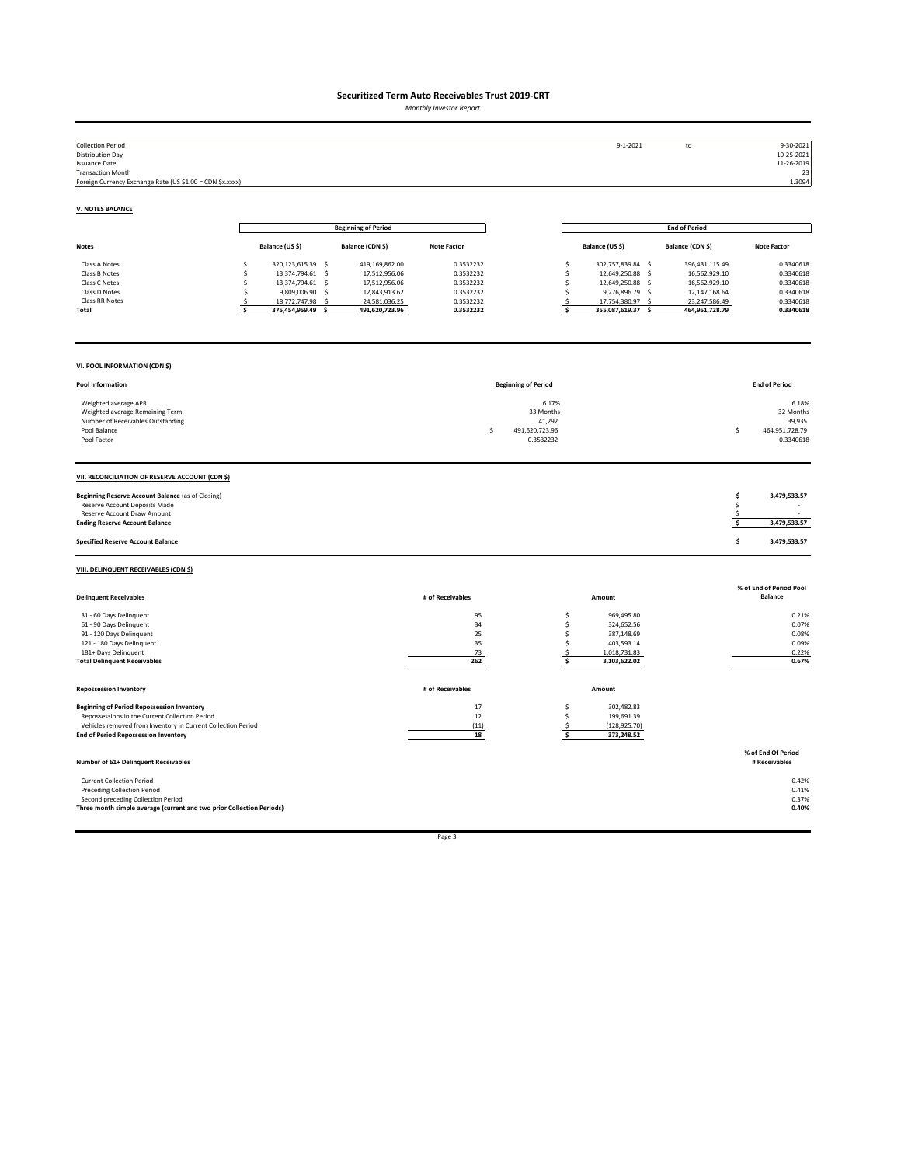*Monthly Investor Report*

| <b>Collection Period</b><br><b>Distribution Day</b><br><b>Issuance Date</b><br><b>Transaction Month</b><br>Foreign Currency Exchange Rate (US \$1.00 = CDN \$x.xxxx)                                               |                                                                                                                                                                                  |                                                                                                      |                                                                            |                                                                   | $9 - 1 - 2021$                                                                                                                                      | to                                                                                                                     | 9-30-2021<br>10-25-2021<br>11-26-2019<br>23<br>1.3094                      |
|--------------------------------------------------------------------------------------------------------------------------------------------------------------------------------------------------------------------|----------------------------------------------------------------------------------------------------------------------------------------------------------------------------------|------------------------------------------------------------------------------------------------------|----------------------------------------------------------------------------|-------------------------------------------------------------------|-----------------------------------------------------------------------------------------------------------------------------------------------------|------------------------------------------------------------------------------------------------------------------------|----------------------------------------------------------------------------|
| <b>V. NOTES BALANCE</b>                                                                                                                                                                                            |                                                                                                                                                                                  |                                                                                                      |                                                                            |                                                                   |                                                                                                                                                     |                                                                                                                        |                                                                            |
|                                                                                                                                                                                                                    |                                                                                                                                                                                  | <b>Beginning of Period</b>                                                                           |                                                                            |                                                                   |                                                                                                                                                     | <b>End of Period</b>                                                                                                   |                                                                            |
| Notes                                                                                                                                                                                                              | Balance (US \$)                                                                                                                                                                  | Balance (CDN \$)                                                                                     | <b>Note Factor</b>                                                         |                                                                   | Balance (US \$)                                                                                                                                     | Balance (CDN \$)                                                                                                       | <b>Note Factor</b>                                                         |
| Class A Notes<br>Class B Notes<br>Class C Notes<br>Class D Notes<br>Class RR Notes<br>Total                                                                                                                        | 320,123,615.39 \$<br>\$<br>13,374,794.61 \$<br><b>s</b><br>13,374,794.61 \$<br>Ś<br>\$<br>9,809,006.90<br>$\mathsf{S}$<br>18,772,747.98<br>-S<br>s<br>\$<br>375,454,959.49<br>Ś. | 419,169,862.00<br>17,512,956.06<br>17,512,956.06<br>12,843,913.62<br>24,581,036.25<br>491,620,723.96 | 0.3532232<br>0.3532232<br>0.3532232<br>0.3532232<br>0.3532232<br>0.3532232 |                                                                   | 302,757,839.84 \$<br>\$<br>12,649,250.88 \$<br>\$<br>\$<br>12,649,250.88 \$<br>\$<br>9,276,896.79 \$<br>\$<br>17,754,380.97<br>\$<br>355,087,619.37 | 396,431,115.49<br>16,562,929.10<br>16,562,929.10<br>12,147,168.64<br>23,247,586.49<br>-S<br>464,951,728.79<br><b>S</b> | 0.3340618<br>0.3340618<br>0.3340618<br>0.3340618<br>0.3340618<br>0.3340618 |
| VI. POOL INFORMATION (CDN \$)                                                                                                                                                                                      |                                                                                                                                                                                  |                                                                                                      |                                                                            |                                                                   |                                                                                                                                                     |                                                                                                                        |                                                                            |
| Pool Information                                                                                                                                                                                                   |                                                                                                                                                                                  |                                                                                                      |                                                                            | <b>Beginning of Period</b>                                        |                                                                                                                                                     |                                                                                                                        | <b>End of Period</b>                                                       |
| Weighted average APR<br>Weighted average Remaining Term<br>Number of Receivables Outstanding<br>Pool Balance<br>Pool Factor                                                                                        |                                                                                                                                                                                  |                                                                                                      |                                                                            | 6.17%<br>33 Months<br>41,292<br>\$<br>491,620,723.96<br>0.3532232 |                                                                                                                                                     |                                                                                                                        | 6.18%<br>32 Months<br>39,935<br>Ś<br>464,951,728.79<br>0.3340618           |
| VII. RECONCILIATION OF RESERVE ACCOUNT (CDN \$)                                                                                                                                                                    |                                                                                                                                                                                  |                                                                                                      |                                                                            |                                                                   |                                                                                                                                                     |                                                                                                                        |                                                                            |
| Beginning Reserve Account Balance (as of Closing)<br>Reserve Account Deposits Made<br>Reserve Account Draw Amount<br><b>Ending Reserve Account Balance</b>                                                         |                                                                                                                                                                                  |                                                                                                      |                                                                            |                                                                   |                                                                                                                                                     |                                                                                                                        | \$<br>3,479,533.57<br>\$<br>\$<br>\$<br>3,479,533.57                       |
| <b>Specified Reserve Account Balance</b>                                                                                                                                                                           |                                                                                                                                                                                  |                                                                                                      |                                                                            |                                                                   |                                                                                                                                                     |                                                                                                                        | \$<br>3,479,533.57                                                         |
| VIII. DELINQUENT RECEIVABLES (CDN \$)                                                                                                                                                                              |                                                                                                                                                                                  |                                                                                                      |                                                                            |                                                                   |                                                                                                                                                     |                                                                                                                        |                                                                            |
| <b>Delinquent Receivables</b>                                                                                                                                                                                      |                                                                                                                                                                                  |                                                                                                      | # of Receivables                                                           |                                                                   | Amount                                                                                                                                              |                                                                                                                        | % of End of Period Pool<br><b>Balance</b>                                  |
| 31 - 60 Days Delinquent<br>61 - 90 Days Delinquent<br>91 - 120 Days Delinquent<br>121 - 180 Days Delinquent<br>181+ Days Delinquent<br><b>Total Delinquent Receivables</b>                                         |                                                                                                                                                                                  |                                                                                                      | 95<br>34<br>25<br>35<br>73<br>262                                          |                                                                   | \$<br>969,495.80<br>\$<br>324,652.56<br>\$<br>387,148.69<br>\$<br>403,593.14<br>\$<br>1,018,731.83<br>\$<br>3,103,622.02                            |                                                                                                                        | 0.21%<br>0.07%<br>0.08%<br>0.09%<br>0.22%<br>0.67%                         |
| <b>Repossession Inventory</b>                                                                                                                                                                                      |                                                                                                                                                                                  |                                                                                                      | # of Receivables                                                           |                                                                   | Amount                                                                                                                                              |                                                                                                                        |                                                                            |
| <b>Beginning of Period Repossession Inventory</b><br>Repossessions in the Current Collection Period<br>Vehicles removed from Inventory in Current Collection Period<br><b>End of Period Repossession Inventory</b> |                                                                                                                                                                                  |                                                                                                      | 17<br>12<br>(11)<br>18                                                     |                                                                   | \$<br>302,482.83<br>\$.<br>199,691.39<br>(128, 925.70)<br>\$<br>\$<br>373,248.52                                                                    |                                                                                                                        |                                                                            |
| Number of 61+ Delinquent Receivables                                                                                                                                                                               |                                                                                                                                                                                  |                                                                                                      |                                                                            |                                                                   |                                                                                                                                                     |                                                                                                                        | % of End Of Period<br># Receivables                                        |
| <b>Current Collection Period</b><br><b>Preceding Collection Period</b><br>Second preceding Collection Period<br>Three month simple average (current and two prior Collection Periods)                              |                                                                                                                                                                                  |                                                                                                      |                                                                            |                                                                   |                                                                                                                                                     |                                                                                                                        | 0.42%<br>0.41%<br>0.37%<br>0.40%                                           |